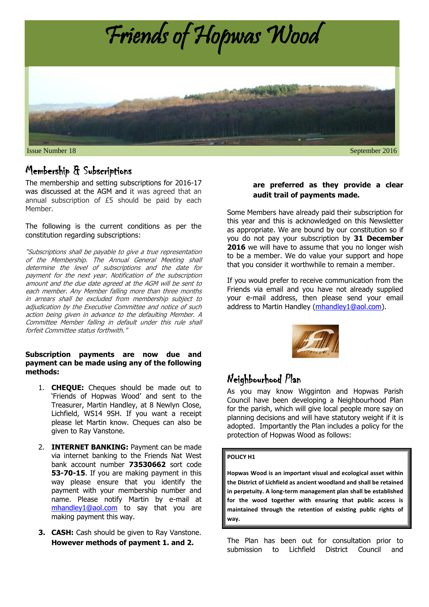

### Membership & Subscriptions

The membership and setting subscriptions for 2016-17 was discussed at the AGM and it was agreed that an annual subscription of £5 should be paid by each Member.

#### The following is the current conditions as per the constitution regarding subscriptions:

"Subscriptions shall be payable to give a true representation of the Membership. The Annual General Meeting shall determine the level of subscriptions and the date for payment for the next year. Notification of the subscription amount and the due date agreed at the AGM will be sent to each member. Any Member falling more than three months in arrears shall be excluded from membership subject to adjudication by the Executive Committee and notice of such action being given in advance to the defaulting Member. A Committee Member falling in default under this rule shall forfeit Committee status forthwith."

#### **Subscription payments are now due and payment can be made using any of the following methods:**

- 1. **CHEQUE:** Cheques should be made out to 'Friends of Hopwas Wood' and sent to the Treasurer, Martin Handley, at 8 Newlyn Close, Lichfield, WS14 9SH. If you want a receipt please let Martin know. Cheques can also be given to Ray Vanstone.
- 2. **INTERNET BANKING:** Payment can be made via internet banking to the Friends Nat West bank account number **73530662** sort code **53-70-15**. If you are making payment in this way please ensure that you identify the payment with your membership number and name. Please notify Martin by e-mail at [mhandley1@aol.com](mailto:mhandley1@aol.com) to say that you are making payment this way.
- **3. CASH:** Cash should be given to Ray Vanstone. **However methods of payment 1. and 2.**

### **are preferred as they provide a clear audit trail of payments made.**

Some Members have already paid their subscription for this year and this is acknowledged on this Newsletter as appropriate. We are bound by our constitution so if you do not pay your subscription by **31 December 2016** we will have to assume that you no longer wish to be a member. We do value your support and hope that you consider it worthwhile to remain a member.

If you would prefer to receive communication from the Friends via email and you have not already supplied your e-mail address, then please send your email address to Martin Handley [\(mhandley1@aol.com\)](mailto:mhandley1@aol.com).



### Neighbourhood Plan

As you may know Wigginton and Hopwas Parish Council have been developing a Neighbourhood Plan for the parish, which will give local people more say on planning decisions and will have statutory weight if it is adopted. Importantly the Plan includes a policy for the protection of Hopwas Wood as follows:

#### **POLICY H1**

**Hopwas Wood is an important visual and ecological asset within the District of Lichfield as ancient woodland and shall be retained in perpetuity. A long-term management plan shall be established for the wood together with ensuring that public access is maintained through the retention of existing public rights of way.** 

The Plan has been out for consultation prior to submission to Lichfield District Council and